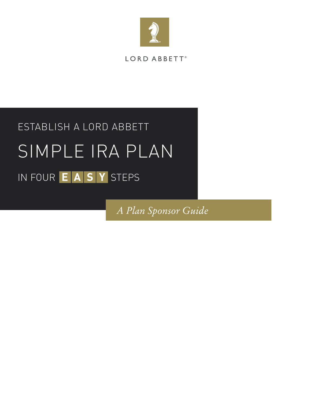

## LORD ABBETT<sup>®</sup>

# ESTABLISH A LORD ABBETT SIMPLE IRA PLAN IN FOUR EASY STEPS

*A Plan Sponsor Guide*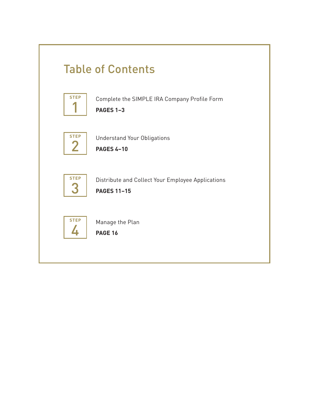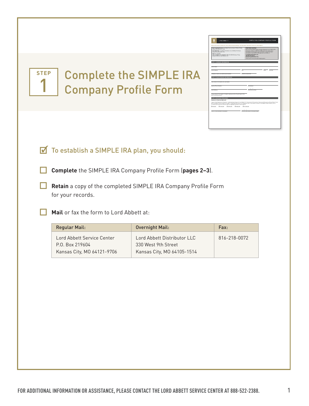

## Complete the SIMPLE IRA Company Profile Form

*EmployEr should complEtE this form, rEtain original for rEcords, and mail or fax to lord abbEtt.*

Company's Federal Tax Identification Number Income Tax Year-End

Daytime Phone Number Fax Number Email Address Plan Effective Date Please estimate the number of eligible employees who will participate in the

13-month period from the effective date, an aggregate amount at least equal to: **B**\$50,000 **B**\$100,000 **B\$250,000 B\$500,000 B\$1,000,000** Letter of Intent Number (if available) Effective Date (date of initial purchase)

**Mail completed form to:** Lord Abbett Service Center, PO Box 219604, Kansas City, MO 64121-9706 **Overnight mail:** Lord Abbett Distributor LLC, 330 West 9th Street, Kansas City, MO 64105-1514 **Fax:** 816-218-0072

**Call Lord Abbett for assistance:** 888-223-0020 (Monday–Friday, between 8:30 a.m. and 6:00 p.m. ET)

Street Address City State Zip Code

I agree to the Statement of Intention. I understand purchases of Lord Abbett U.S. Government & Government Sponsored Enterprises Money Market Fund and Lord Abbett Series Funds do not apply. I understand that there is no obligation, but it is my intent to invest in Lord Abbett Class A shares, over a

**Free Fedex Shipping**

We are offering FREE FedEx overnight shipping for your SIMPLE IRA paperwork. Simply call 888-522-2388 (option 3) to speak with a Lord Abbett Service Center representative to obtain the FedEx information. Send SIMPLE IRA paperwork via FedEx to: **Lord Abbett distributor LLC 330 West 9th Street Kansas City, MO 64105-1514**

SImple Ira Company profIle form

Step 1: Company InformatIon Owner Name

Step 2: plan SponSor InformatIon Plan Contact (First Name, MI, Last Name)

plan (including yourself). STEP 3: DISCOUNT PRIVILEGES **Statement of intention (Optional):**

## To establish a SIMPLE IRA plan, you should:

**Complete** the SIMPLE IRA Company Profile Form (**pages 2–3**).

 **Retain** a copy of the completed SIMPLE IRA Company Profile Form for your records.

**Mail** or fax the form to Lord Abbett at:

| <b>Regular Mail:</b>       | Overnight Mail:             | Fax:         |
|----------------------------|-----------------------------|--------------|
| Lord Abbett Service Center | Lord Abbett Distributor LLC | 816-218-0072 |
| P.O. Box 219604            | 330 West 9th Street         |              |
| Kansas City, MO 64121-9706 | Kansas City, MO 64105-1514  |              |
|                            |                             |              |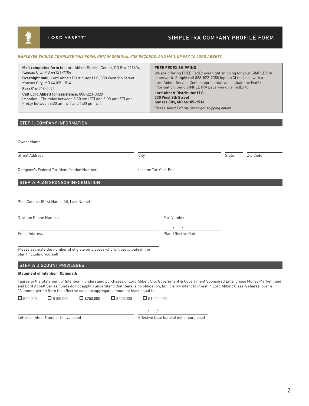## SIMPLE IRA COMPANY PROFILE FORM

#### *EMPLOYER SHOULD COMPLETE THIS FORM, RETAIN ORIGINAL FOR RECORDS, AND MAIL OR FAX TO LORD ABBETT.*

| Mail completed form to: Lord Abbett Service Center, PO Box 219604.<br><b>FREE FEDEX SHIPPING</b><br>Kansas City, MO 64121-9706<br>paperwork. Simply call 888-522-2388 (option 3) to speak with a<br>Overnight mail: Lord Abbett Distributor LLC, 330 West 9th Street,<br>Lord Abbett Service Center representative to obtain the FedEx<br>Kansas City, MO 64105-1514<br>information. Send SIMPLE IRA paperwork via FedEx to:<br><b>Fax:</b> $816 - 218 - 0072$<br><b>Lord Abbett Distributor LLC</b><br>Call Lord Abbett for assistance: 888-223-0020<br>330 West 9th Street<br>(Monday – Thursday between 8:30 am (ET) and 6:00 pm (ET) and<br>Kansas City, MO 64105-1514<br>Friday between 8:30 am (ET) and 4:00 pm (ET))<br>Please select Priority Overnight shipping option. | We are offering FREE FedEx overnight shipping for your SIMPLE IRA |
|----------------------------------------------------------------------------------------------------------------------------------------------------------------------------------------------------------------------------------------------------------------------------------------------------------------------------------------------------------------------------------------------------------------------------------------------------------------------------------------------------------------------------------------------------------------------------------------------------------------------------------------------------------------------------------------------------------------------------------------------------------------------------------|-------------------------------------------------------------------|
|----------------------------------------------------------------------------------------------------------------------------------------------------------------------------------------------------------------------------------------------------------------------------------------------------------------------------------------------------------------------------------------------------------------------------------------------------------------------------------------------------------------------------------------------------------------------------------------------------------------------------------------------------------------------------------------------------------------------------------------------------------------------------------|-------------------------------------------------------------------|

### **STEP 1: COMPANY INFORMATION**

| Owner Name                                                                                                                                                                                                                                                                                                    |                     |       |          |
|---------------------------------------------------------------------------------------------------------------------------------------------------------------------------------------------------------------------------------------------------------------------------------------------------------------|---------------------|-------|----------|
| <b>Street Address</b>                                                                                                                                                                                                                                                                                         | City                | State | Zip Code |
| Company's Federal Tax Identification Number                                                                                                                                                                                                                                                                   | Income Tax Year-End |       |          |
| <b>STEP 2: PLAN SPONSOR INFORMATION</b>                                                                                                                                                                                                                                                                       |                     |       |          |
| Plan Contact (First Name, MI, Last Name)                                                                                                                                                                                                                                                                      |                     |       |          |
| Daytime Phone Number                                                                                                                                                                                                                                                                                          | Fax Number          |       |          |
| <b>Email Address</b>                                                                                                                                                                                                                                                                                          | Plan Effective Date |       |          |
| Please estimate the number of eligible employees who will participate in the<br>plan (including yourself).                                                                                                                                                                                                    |                     |       |          |
| <b>STEP 3: DISCOUNT PRIVILEGES</b>                                                                                                                                                                                                                                                                            |                     |       |          |
| <b>Statement of Intention (Optional):</b>                                                                                                                                                                                                                                                                     |                     |       |          |
| I agree to the Statement of Intention. I understand purchases of Lord Abbett U.S. Government & Government Sponsored Enterprises Money Market Fund<br>and Lord Abbett Series Funds do not apply. I understand that there is no obligation, but it is my intent to invest in Lord Abbett Class A shares, over a |                     |       |          |

13-month period from the effective date, an aggregate amount at least equal to:

| $\square$ \$50,000 | $\square$ \$100,000 | $\Box$ \$250,000 | $\Box$ \$500,000 | $\Box$ \$1,000,000 |
|--------------------|---------------------|------------------|------------------|--------------------|
|--------------------|---------------------|------------------|------------------|--------------------|

/ /

Letter of Intent Number (if available) Effective Date (date of initial purchase)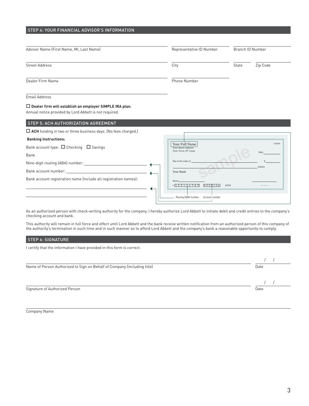| Advisor Name (First Name, MI, Last Name)                                                                                                                                                                                                                                                                   | Representative ID Number                     | Branch ID Number |          |
|------------------------------------------------------------------------------------------------------------------------------------------------------------------------------------------------------------------------------------------------------------------------------------------------------------|----------------------------------------------|------------------|----------|
| <b>Street Address</b>                                                                                                                                                                                                                                                                                      | City                                         | State            | Zip Code |
| Dealer Firm Name                                                                                                                                                                                                                                                                                           | Phone Number                                 |                  |          |
| <b>Email Address</b>                                                                                                                                                                                                                                                                                       |                                              |                  |          |
| $\Box$ Dealer firm will establish an employer SIMPLE IRA plan.<br>Annual notice provided by Lord Abbett is not required.                                                                                                                                                                                   |                                              |                  |          |
| STEP 5: ACH AUTHORIZATION AGREEMENT                                                                                                                                                                                                                                                                        |                                              |                  |          |
| $\Box$ ACH funding in two or three business days. (No fees charged.)                                                                                                                                                                                                                                       |                                              |                  |          |
| <b>Banking Instructions:</b>                                                                                                                                                                                                                                                                               |                                              |                  |          |
| Bank account type: $\Box$ Checking $\Box$ Savings                                                                                                                                                                                                                                                          | Your Full Name<br><b>Your Street Address</b> |                  | 1000     |
|                                                                                                                                                                                                                                                                                                            | Your Town, ST 12345                          |                  | Date     |
|                                                                                                                                                                                                                                                                                                            |                                              |                  |          |
|                                                                                                                                                                                                                                                                                                            | Pay to the order of                          |                  |          |
|                                                                                                                                                                                                                                                                                                            | Your Bank                                    |                  | dollars  |
| Bank<br>Bank account number: The contract of the contract of the contract of the contract of the contract of the contract of the contract of the contract of the contract of the contract of the contract of the contract of the contr<br>Bank account registration name (include all registration names): | Memo.<br>: 123456789<br>1231456              | 1000             | $- - -$  |

As an authorized person with check-writing authority for the company, I hereby authorize Lord Abbett to initiate debit and credit entries to the company's checking account and bank.

This authority will remain in full force and effect until Lord Abbett and the bank receive written notification from an authorized person of this company of the authority's termination in such time and in such manner as to afford Lord Abbett and the company's bank a reasonable opportunity to comply.

#### STEP 6: SIGNATURE

I certify that the information I have provided in this form is correct.

| Name of Person Authorized to Sign on Behalf of Company (including title) | Date |
|--------------------------------------------------------------------------|------|
|                                                                          |      |
| Signature of Authorized Person                                           | Date |

Company Name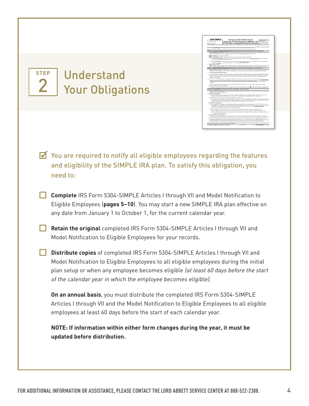

ı

٦

## Understand Your Obligations

**STEP**

2

You are required to notify all eligible employees regarding the features and eligibility of the SIMPLE IRA plan. To satisfy this obligation, you need to:

- **Complete** IRS Form 5304-SIMPLE Articles I through VII and Model Notification to Eligible Employees (**pages 5–10**). You may start a new SIMPLE IRA plan effective on any date from January 1 to October 1, for the current calendar year.
	- **Retain the original** completed IRS Form 5304-SIMPLE Articles I through VII and Model Notification to Eligible Employees for your records.

 **Distribute copies** of completed IRS Form 5304-SIMPLE Articles I through VII and Model Notification to Eligible Employees to all eligible employees during the initial plan setup or when any employee becomes eligible (at least 60 days before the start of the calendar year in which the employee becomes eligible).

**On an annual basis**, you must distribute the completed IRS Form 5304-SIMPLE Articles I through VII and the Model Notification to Eligible Employees to all eligible employees at least 60 days before the start of each calendar year.

 **NOTE: If information within either form changes during the year, it must be updated before distribution.**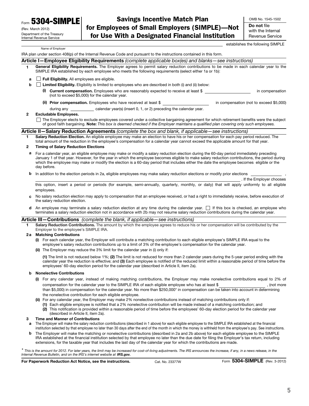**Form 5304-SIMPLE** 

| (Rev. March 2012)          |
|----------------------------|
| Department of the Treasury |
| Internal Revenue Service   |

Savings Incentive Match Plan for Employees of Small Employers (SIMPLE)—Not for Use With a Designated Financial Institution

OMB No. 1545-1502 Do not file with the Internal Revenue Service

establishes the following SIMPLE

Name of Employer

IRA plan under section 408(p) of the Internal Revenue Code and pursuant to the instructions contained in this form.

|   |     |                              | Article I-Employee Eligibility Requirements (complete applicable box(es) and blanks-see instructions)                                                                                                                                            |                                         |
|---|-----|------------------------------|--------------------------------------------------------------------------------------------------------------------------------------------------------------------------------------------------------------------------------------------------|-----------------------------------------|
|   |     |                              | General Eligibility Requirements. The Employer agrees to permit salary reduction contributions to be made in each calendar year to the<br>SIMPLE IRA established by each employee who meets the following requirements (select either 1a or 1b): |                                         |
| a |     |                              | Full Eligibility. All employees are eligible.                                                                                                                                                                                                    |                                         |
| b |     |                              | Limited Eligibility. Eligibility is limited to employees who are described in both (i) and (ii) below:                                                                                                                                           |                                         |
|   | (i) |                              | <b>Current compensation.</b> Employees who are reasonably expected to receive at least \$<br>(not to exceed \$5,000) for the calendar year.                                                                                                      | in compensation                         |
|   |     |                              | (ii) Prior compensation. Employees who have received at least \$                                                                                                                                                                                 | in compensation (not to exceed \$5,000) |
|   |     |                              | during any _______________ calendar year(s) (insert 0, 1, or 2) preceding the calendar year.                                                                                                                                                     |                                         |
|   |     | <b>Excludable Employees.</b> |                                                                                                                                                                                                                                                  |                                         |
|   |     |                              | The Employer elects to exclude employees covered under a collective bargaining agreement for which retirement benefits were the subject                                                                                                          |                                         |

The Employer elects to exclude employees covered under a collective bargaining agreement for which retirement benefits were the subject of good faith bargaining. Note: This box is deemed checked if the Employer maintains a qualified plan covering only such employees.

#### Article II-Salary Reduction Agreements (complete the box and blank, if applicable-see instructions)

Salary Reduction Election. An eligible employee may make an election to have his or her compensation for each pay period reduced. The total amount of the reduction in the employee's compensation for a calendar year cannot exceed the applicable amount for that year.

#### 2 Timing of Salary Reduction Elections

- a For a calendar year, an eligible employee may make or modify a salary reduction election during the 60-day period immediately preceding January 1 of that year. However, for the year in which the employee becomes eligible to make salary reduction contributions, the period during which the employee may make or modify the election is a 60-day period that includes either the date the employee becomes eligible or the day before.
- **b** In addition to the election periods in 2a, eligible employees may make salary reduction elections or modify prior elections

. If the Employer chooses this option, insert a period or periods (for example, semi-annually, quarterly, monthly, or daily) that will apply uniformly to all eligible employees.

- c No salary reduction election may apply to compensation that an employee received, or had a right to immediately receive, before execution of the salary reduction election.
- An employee may terminate a salary reduction election at any time during the calendar year.  $\Box$  If this box is checked, an employee who terminates a salary reduction election not in accordance with 2b may not resume salary reduction contributions during the calendar year.

#### Article III-Contributions (complete the blank, if applicable-see instructions)

Salary Reduction Contributions. The amount by which the employee agrees to reduce his or her compensation will be contributed by the Employer to the employee's SIMPLE IRA.

#### 2 a Matching Contributions

- (i) For each calendar year, the Employer will contribute a matching contribution to each eligible employee's SIMPLE IRA equal to the employee's salary reduction contributions up to a limit of 3% of the employee's compensation for the calendar year.
- (ii) The Employer may reduce the 3% limit for the calendar year in (i) only if:

(1) The limit is not reduced below 1%; (2) The limit is not reduced for more than 2 calendar years during the 5-year period ending with the calendar year the reduction is effective; and (3) Each employee is notified of the reduced limit within a reasonable period of time before the employees' 60-day election period for the calendar year (described in Article II, item 2a).

#### b Nonelective Contributions

- (i) For any calendar year, instead of making matching contributions, the Employer may make nonelective contributions equal to 2% of compensation for the calendar year to the SIMPLE IRA of each eligible employee who has at least \$ , (not more than \$5,000) in compensation for the calendar year. No more than \$250,000\* in compensation can be taken into account in determining the nonelective contribution for each eligible employee.
- (ii) For any calendar year, the Employer may make 2% nonelective contributions instead of matching contributions only if:
	- (1) Each eligible employee is notified that a 2% nonelective contribution will be made instead of a matching contribution; and
	- (2) This notification is provided within a reasonable period of time before the employees' 60-day election period for the calendar year (described in Article II, item 2a).

#### 3 Time and Manner of Contributions

- a The Employer will make the salary reduction contributions (described in 1 above) for each eligible employee to the SIMPLE IRA established at the financial institution selected by that employee no later than 30 days after the end of the month in which the money is withheld from the employee's pay. See instructions.
- b The Employer will make the matching or nonelective contributions (described in 2a and 2b above) for each eligible employee to the SIMPLE IRA established at the financial institution selected by that employee no later than the due date for filing the Employer's tax return, including extensions, for the taxable year that includes the last day of the calendar year for which the contributions are made.

\* This is the amount for 2012. For later years, the limit may be increased for cost-of-living adjustments. The IRS announces the increase, if any, in a news release, in the Internal Revenue Bulletin, and on the IRS's internet website at IRS.gov.

For Paperwork Reduction Act Notice, see the instructions. Cat. No. 23377W Form 5304-SIMPLE (Rev. 3-2012)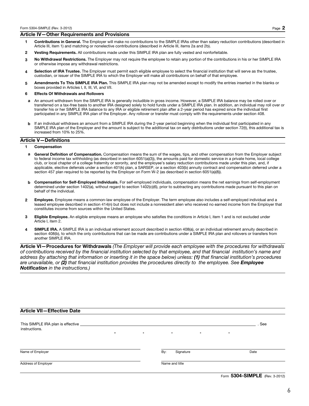#### Article IV—Other Requirements and Provisions

- 1 Contributions in General. The Employer will make no contributions to the SIMPLE IRAs other than salary reduction contributions (described in Article III, item 1) and matching or nonelective contributions (described in Article III, items 2a and 2b).
- 2 Vesting Requirements. All contributions made under this SIMPLE IRA plan are fully vested and nonforfeitable.
- 3 No Withdrawal Restrictions. The Employer may not require the employee to retain any portion of the contributions in his or her SIMPLE IRA or otherwise impose any withdrawal restrictions.
- Selection of IRA Trustee. The Employer must permit each eligible employee to select the financial institution that will serve as the trustee, custodian, or issuer of the SIMPLE IRA to which the Employer will make all contributions on behalf of that employee.
- 5 Amendments To This SIMPLE IRA Plan. This SIMPLE IRA plan may not be amended except to modify the entries inserted in the blanks or boxes provided in Articles I, II, III, VI, and VII.

#### 6 Effects Of Withdrawals and Rollovers

- a An amount withdrawn from the SIMPLE IRA is generally includible in gross income. However, a SIMPLE IRA balance may be rolled over or transferred on a tax-free basis to another IRA designed solely to hold funds under a SIMPLE IRA plan. In addition, an individual may roll over or transfer his or her SIMPLE IRA balance to any IRA or eligible retirement plan after a 2-year period has expired since the individual first participated in any SIMPLE IRA plan of the Employer. Any rollover or transfer must comply with the requirements under section 408.
- b If an individual withdraws an amount from a SIMPLE IRA during the 2-year period beginning when the individual first participated in any SIMPLE IRA plan of the Employer and the amount is subject to the additional tax on early distributions under section 72(t), this additional tax is increased from 10% to 25%.

#### Article V—Definitions

#### 1 Compensation

- General Definition of Compensation. Compensation means the sum of the wages, tips, and other compensation from the Employer subject to federal income tax withholding (as described in section 6051(a)(3)), the amounts paid for domestic service in a private home, local college club, or local chapter of a college fraternity or sorority, and the employee's salary reduction contributions made under this plan, and, if applicable, elective deferrals under a section 401(k) plan, a SARSEP, or a section 403(b) annuity contract and compensation deferred under a section 457 plan required to be reported by the Employer on Form W-2 (as described in section 6051(a)(8)).
- b Compensation for Self-Employed Individuals. For self-employed individuals, compensation means the net earnings from self-employment determined under section 1402(a), without regard to section 1402(c)(6), prior to subtracting any contributions made pursuant to this plan on behalf of the individual.
- 2 Employee. Employee means a common-law employee of the Employer. The term employee also includes a self-employed individual and a leased employee described in section 414(n) but does not include a nonresident alien who received no earned income from the Employer that constitutes income from sources within the United States.
- 3 Eligible Employee. An eligible employee means an employee who satisfies the conditions in Article I, item 1 and is not excluded under Article I, item 2.
- 4 SIMPLE IRA. A SIMPLE IRA is an individual retirement account described in section 408(a), or an individual retirement annuity described in section 408(b), to which the only contributions that can be made are contributions under a SIMPLE IRA plan and rollovers or transfers from another SIMPLE IRA.

Article VI-Procedures for Withdrawals (The Employer will provide each employee with the procedures for withdrawals of contributions received by the financial institution selected by that employee, and that financial institution's name and address (by attaching that information or inserting it in the space below) unless: (1) that financial institution's procedures are unavailable, or (2) that financial institution provides the procedures directly to the employee. See Employee Notification in the instructions.)

| <b>Article VII-Effective Date</b>                                 |         |         |                  |         |         |      |  |
|-------------------------------------------------------------------|---------|---------|------------------|---------|---------|------|--|
| This SIMPLE IRA plan is effective ______________<br>instructions. |         |         |                  |         |         | See  |  |
|                                                                   | $\star$ | $\star$ | $\star$          | $\star$ | $\star$ |      |  |
|                                                                   |         |         |                  |         |         |      |  |
| Name of Employer                                                  |         |         | By:<br>Signature |         |         | Date |  |
| Address of Employer                                               |         |         | Name and title   |         |         |      |  |
|                                                                   |         |         |                  |         |         |      |  |

Form 5304-SIMPLE (Rev. 3-2012)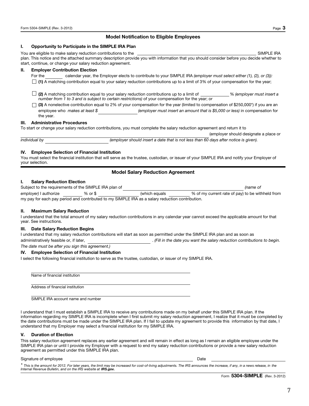#### Model Notification to Eligible Employees

#### I. Opportunity to Participate in the SIMPLE IRA Plan

You are eligible to make salary reduction contributions to the SIMPLE IRA and the SIMPLE IRA plan. This notice and the attached summary description provide you with information that you should consider before you decide whether to start, continue, or change your salary reduction agreement.

#### II. Employer Contribution Election

- For the calendar year, the Employer elects to contribute to your SIMPLE IRA (employer must select either (1), (2), or (3)):
- $\Box$  (1) A matching contribution equal to your salary reduction contributions up to a limit of 3% of your compensation for the year;
- $\Box$  (2) A matching contribution equal to your salary reduction contributions up to a limit of  $\Box$  % (employer must insert a number from 1 to 3 and is subject to certain restrictions) of your compensation for the year; or
- $\Box$  (3) A nonelective contribution equal to 2% of your compensation for the year (limited to compensation of \$250,000\*) if you are an employee who makes at least \$ (employer must insert an amount that is \$5,000 or less) in compensation for the year.

#### III. Administrative Procedures

To start or change your salary reduction contributions, you must complete the salary reduction agreement and return it to

individual by (employer should insert a date that is not less than 60 days after notice is given).

#### IV. Employee Selection of Financial Institution

You must select the financial institution that will serve as the trustee, custodian, or issuer of your SIMPLE IRA and notify your Employer of your selection.

#### Model Salary Reduction Agreement

#### I. Salary Reduction Election

| Subject to the requirements of the SIMPLE IRA plan of |         |                                                                                                 | (name of                                         |
|-------------------------------------------------------|---------|-------------------------------------------------------------------------------------------------|--------------------------------------------------|
| employer) I authorize                                 | % or \$ | (which equals)                                                                                  | % of my current rate of pay) to be withheld from |
|                                                       |         | my pay for each pay period and contributed to my SIMPLE IRA as a salary reduction contribution. |                                                  |

#### II. Maximum Salary Reduction

I understand that the total amount of my salary reduction contributions in any calendar year cannot exceed the applicable amount for that year. See instructions.

#### III. Date Salary Reduction Begins

I understand that my salary reduction contributions will start as soon as permitted under the SIMPLE IRA plan and as soon as administratively feasible or, if later, . (Fill in the date you want the salary reduction contributions to begin. The date must be after you sign this agreement.)

## IV. Employee Selection of Financial Institution

I select the following financial institution to serve as the trustee, custodian, or issuer of my SIMPLE IRA.

Name of financial institution

Address of financial institution

SIMPLE IRA account name and number

I understand that I must establish a SIMPLE IRA to receive any contributions made on my behalf under this SIMPLE IRA plan. If the information regarding my SIMPLE IRA is incomplete when I first submit my salary reduction agreement, I realize that it must be completed by the date contributions must be made under the SIMPLE IRA plan. If I fail to update my agreement to provide this information by that date, I understand that my Employer may select a financial institution for my SIMPLE IRA.

#### V. Duration of Election

This salary reduction agreement replaces any earlier agreement and will remain in effect as long as I remain an eligible employee under the SIMPLE IRA plan or until I provide my Employer with a request to end my salary reduction contributions or provide a new salary reduction agreement as permitted under this SIMPLE IRA plan.

#### Signature of employee Date

\* This is the amount for 2012. For later years, the limit may be increased for cost-of-living adjustments. The IRS announces the increase, if any, in a news release, in the Internal Revenue Bulletin, and on the IRS website at IRS.gov.

(employer should designate a place or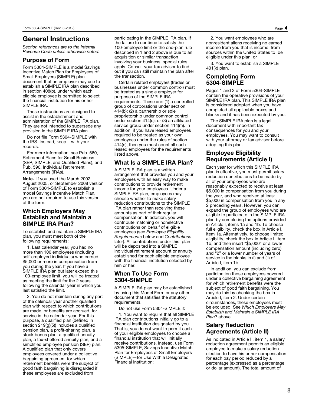## General Instructions

Section references are to the Internal Revenue Code unless otherwise noted.

## Purpose of Form

Form 5304-SIMPLE is a model Savings Incentive Match Plan for Employees of Small Employers (SIMPLE) plan document that an employer may use to establish a SIMPLE IRA plan described in section 408(p), under which each eligible employee is permitted to select the financial institution for his or her SIMPLE IRA.

These instructions are designed to assist in the establishment and administration of the SIMPLE IRA plan. They are not intended to supersede any provision in the SIMPLE IRA plan.

Do not file Form 5304-SIMPLE with the IRS. Instead, keep it with your records.

For more information, see Pub. 560, Retirement Plans for Small Business (SEP, SIMPLE, and Qualified Plans), and Pub. 590, Individual Retirement Arrangements (IRAs).

Note. If you used the March 2002, August 2005, or September 2008 version of Form 5304-SIMPLE to establish a model Savings Incentive Match Plan, you are not required to use this version of the form.

### Which Employers May Establish and Maintain a SIMPLE IRA Plan?

To establish and maintain a SIMPLE IRA plan, you must meet both of the following requirements:

1. Last calendar year, you had no more than 100 employees (including self-employed individuals) who earned \$5,000 or more in compensation from you during the year. If you have a SIMPLE IRA plan but later exceed this 100-employee limit, you will be treated as meeting the limit for the 2 years following the calendar year in which you last satisfied the limit.

2. You do not maintain during any part of the calendar year another qualified plan with respect to which contributions are made, or benefits are accrued, for service in the calendar year. For this purpose, a qualified plan (defined in section 219(g)(5)) includes a qualified pension plan, a profit-sharing plan, a stock bonus plan, a qualified annuity plan, a tax-sheltered annuity plan, and a simplified employee pension (SEP) plan. A qualified plan that only covers employees covered under a collective bargaining agreement for which retirement benefits were the subject of good faith bargaining is disregarded if these employees are excluded from

participating in the SIMPLE IRA plan. If the failure to continue to satisfy the 100-employee limit or the one-plan rule described in 1 and 2 above is due to an acquisition or similar transaction involving your business, special rules apply. Consult your tax advisor to find out if you can still maintain the plan after the transaction.

Certain related employers (trades or businesses under common control) must be treated as a single employer for purposes of the SIMPLE IRA requirements. These are: (1) a controlled group of corporations under section 414(b); (2) a partnership or sole proprietorship under common control under section 414(c); or (3) an affiliated service group under section 414(m). In addition, if you have leased employees required to be treated as your own employees under the rules of section 414(n), then you must count all such leased employees for the requirements listed above.

## What Is a SIMPLE IRA Plan?

A SIMPLE IRA plan is a written arrangement that provides you and your employees with an easy way to make contributions to provide retirement income for your employees. Under a SIMPLE IRA plan, employees may choose whether to make salary reduction contributions to the SIMPLE IRA plan rather than receiving these amounts as part of their regular compensation. In addition, you will contribute matching or nonelective contributions on behalf of eligible employees (see Employee Eligibility Requirements below and Contributions later). All contributions under this plan will be deposited into a SIMPLE individual retirement account or annuity established for each eligible employee with the financial institution selected by him or her.

## When To Use Form 5304-SIMPLE

A SIMPLE IRA plan may be established by using this Model Form or any other document that satisfies the statutory requirements.

Do not use Form 5304-SIMPLE if:

1. You want to require that all SIMPLE IRA plan contributions initially go to a financial institution designated by you. That is, you do not want to permit each of your eligible employees to choose a financial institution that will initially receive contributions. Instead, use Form 5305-SIMPLE, Savings Incentive Match Plan for Employees of Small Employers (SIMPLE)—for Use With a Designated Financial Institution;

2. You want employees who are nonresident aliens receiving no earned income from you that is income from sources within the United States to be eligible under this plan; or

3. You want to establish a SIMPLE 401(k) plan.

#### Completing Form 5304-SIMPLE

Pages 1 and 2 of Form 5304-SIMPLE contain the operative provisions of your SIMPLE IRA plan. This SIMPLE IRA plan is considered adopted when you have completed all applicable boxes and blanks and it has been executed by you.

The SIMPLE IRA plan is a legal document with important tax consequences for you and your employees. You may want to consult with your attorney or tax advisor before adopting this plan.

## Employee Eligibility Requirements (Article I)

Each year for which this SIMPLE IRA plan is effective, you must permit salary reduction contributions to be made by all of your employees who are reasonably expected to receive at least \$5,000 in compensation from you during the year, and who received at least \$5,000 in compensation from you in any 2 preceding years. However, you can expand the group of employees who are eligible to participate in the SIMPLE IRA plan by completing the options provided in Article I, items 1a and 1b. To choose full eligibility, check the box in Article I, item 1a. Alternatively, to choose limited eligibility, check the box in Article I, item 1b, and then insert "\$5,000" or a lower compensation amount (including zero) and "2" or a lower number of years of service in the blanks in (i) and (ii) of Article I, item 1b.

In addition, you can exclude from participation those employees covered under a collective bargaining agreement for which retirement benefits were the subject of good faith bargaining. You may do this by checking the box in Article I, item 2. Under certain circumstances, these employees must be excluded. See Which Employers May Establish and Maintain a SIMPLE IRA Plan? above.

## Salary Reduction Agreements (Article II)

As indicated in Article II, item 1, a salary reduction agreement permits an eligible employee to make a salary reduction election to have his or her compensation for each pay period reduced by a percentage (expressed as a percentage or dollar amount). The total amount of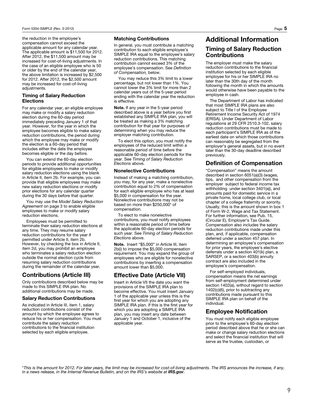the reduction in the employee's compensation cannot exceed the applicable amount for any calendar year. The applicable amount is \$11,500 for 2012. After 2012, the \$11,500 amount may be increased for cost-of-living adjustments. In the case of an eligible employee who is 50 or older by the end of the calendar year, the above limitation is increased by \$2,500 for 2012. After 2012, the \$2,500 amount may be increased for cost-of-living adjustments.

#### Timing of Salary Reduction Elections

For any calendar year, an eligible employee may make or modify a salary reduction election during the 60-day period immediately preceding January 1 of that year. However, for the year in which the employee becomes eligible to make salary reduction contributions, the period during which the employee may make or modify the election is a 60-day period that includes either the date the employee becomes eligible or the day before.

You can extend the 60-day election periods to provide additional opportunities for eligible employees to make or modify salary reduction elections using the blank in Article II, item 2b. For example, you can provide that eligible employees may make new salary reduction elections or modify prior elections for any calendar quarter during the 30 days before that quarter.

You may use the Model Salary Reduction Agreement on page 3 to enable eligible employees to make or modify salary reduction elections.

Employees must be permitted to terminate their salary reduction elections at any time. They may resume salary reduction contributions for the year if permitted under Article II, item 2b. However, by checking the box in Article II, item 2d, you may prohibit an employee who terminates a salary reduction election outside the normal election cycle from resuming salary reduction contributions during the remainder of the calendar year.

## Contributions (Article III)

Only contributions described below may be made to this SIMPLE IRA plan. No additional contributions may be made.

#### Salary Reduction Contributions

As indicated in Article III, item 1, salary reduction contributions consist of the amount by which the employee agrees to reduce his or her compensation. You must contribute the salary reduction contributions to the financial institution selected by each eligible employee.

#### Matching Contributions

In general, you must contribute a matching contribution to each eligible employee's SIMPLE IRA equal to the employee's salary reduction contributions. This matching contribution cannot exceed 3% of the employee's compensation. See Definition of Compensation, below.

You may reduce this 3% limit to a lower percentage, but not lower than 1%. You cannot lower the 3% limit for more than 2 calendar years out of the 5-year period ending with the calendar year the reduction is effective.

Note. If any year in the 5-year period described above is a year before you first established any SIMPLE IRA plan, you will be treated as making a 3% matching contribution for that year for purposes of determining when you may reduce the employer matching contribution.

To elect this option, you must notify the employees of the reduced limit within a reasonable period of time before the applicable 60-day election periods for the year. See Timing of Salary Reduction Elections above.

#### Nonelective Contributions

Instead of making a matching contribution, you may, for any year, make a nonelective contribution equal to 2% of compensation for each eligible employee who has at least \$5,000 in compensation for the year. Nonelective contributions may not be based on more than \$250,000\* of compensation.

To elect to make nonelective contributions, you must notify employees within a reasonable period of time before the applicable 60-day election periods for such year. See Timing of Salary Reduction Elections above.

Note. Insert "\$5,000" in Article III, item 2b(i) to impose the \$5,000 compensation requirement. You may expand the group of employees who are eligible for nonelective contributions by inserting a compensation amount lower than \$5,000.

## Effective Date (Article VII)

Insert in Article VII the date you want the provisions of the SIMPLE IRA plan to become effective. You must insert January 1 of the applicable year unless this is the first year for which you are adopting any SIMPLE IRA plan. If this is the first year for which you are adopting a SIMPLE IRA plan, you may insert any date between January 1 and October 1, inclusive of the applicable year.

## Additional Information

## Timing of Salary Reduction Contributions

The employer must make the salary reduction contributions to the financial institution selected by each eligible employee for his or her SIMPLE IRA no later than the 30th day of the month following the month in which the amounts would otherwise have been payable to the employee in cash.

The Department of Labor has indicated that most SIMPLE IRA plans are also subject to Title I of the Employee Retirement Income Security Act of 1974 (ERISA). Under Department of Labor regulations at 29 CFR 2510.3-102, salary reduction contributions must be made to each participant's SIMPLE IRA as of the earliest date on which those contributions can reasonably be segregated from the employer's general assets, but in no event later than the 30-day deadline described previously.

## Definition of Compensation

"Compensation" means the amount described in section 6051(a)(3) (wages, tips, and other compensation from the employer subject to federal income tax withholding under section 3401(a)), and amounts paid for domestic service in a private home, local college club, or local chapter of a college fraternity or sorority. Usually, this is the amount shown in box 1 of Form W-2, Wage and Tax Statement. For further information, see Pub. 15, (Circular E), Employer's Tax Guide. Compensation also includes the salary reduction contributions made under this plan, and, if applicable, compensation deferred under a section 457 plan. In determining an employee's compensation for prior years, the employee's elective deferrals under a section 401(k) plan, a SARSEP, or a section 403(b) annuity contract are also included in the employee's compensation.

For self-employed individuals, compensation means the net earnings from self-employment determined under section 1402(a), without regard to section 1402(c)(6), prior to subtracting any contributions made pursuant to this SIMPLE IRA plan on behalf of the individual.

### Employee Notification

You must notify each eligible employee prior to the employee's 60-day election period described above that he or she can make or change salary reduction elections and select the financial institution that will serve as the trustee, custodian, or

\*This is the amount for 2012. For later years, the limit may be increased for cost-of-living adjustments. The IRS announces the increase, if any, in a news release, in the Internal Revenue Bulletin, and on the IRS's website at IRS.gov.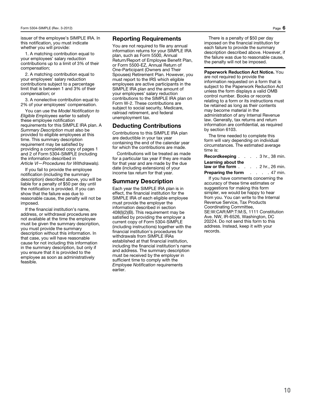issuer of the employee's SIMPLE IRA. In this notification, you must indicate whether you will provide:

1. A matching contribution equal to your employees' salary reduction contributions up to a limit of 3% of their compensation;

2. A matching contribution equal to your employees' salary reduction contributions subject to a percentage limit that is between 1 and 3% of their compensation; or

3. A nonelective contribution equal to 2% of your employees' compensation.

You can use the Model Notification to Eligible Employees earlier to satisfy these employee notification requirements for this SIMPLE IRA plan. A Summary Description must also be provided to eligible employees at this time. This summary description requirement may be satisfied by providing a completed copy of pages 1 and 2 of Form 5304-SIMPLE (including the information described in Article VI—Procedures for Withdrawals).

If you fail to provide the employee notification (including the summary description) described above, you will be liable for a penalty of \$50 per day until the notification is provided. If you can show that the failure was due to reasonable cause, the penalty will not be imposed.

If the financial institution's name, address, or withdrawal procedures are not available at the time the employee must be given the summary description, you must provide the summary description without this information. In that case, you will have reasonable cause for not including this information in the summary description, but only if you ensure that it is provided to the employee as soon as administratively feasible.

#### Reporting Requirements

You are not required to file any annual information returns for your SIMPLE IRA plan, such as Form 5500, Annual Return/Report of Employee Benefit Plan, or Form 5500-EZ, Annual Return of One-Participant (Owners and Their Spouses) Retirement Plan. However, you must report to the IRS which eligible employees are active participants in the SIMPLE IRA plan and the amount of your employees' salary reduction contributions to the SIMPLE IRA plan on Form W-2. These contributions are subject to social security, Medicare, railroad retirement, and federal unemployment tax.

#### Deducting Contributions

Contributions to this SIMPLE IRA plan are deductible in your tax year containing the end of the calendar year for which the contributions are made.

Contributions will be treated as made for a particular tax year if they are made for that year and are made by the due date (including extensions) of your income tax return for that year.

#### Summary Description

Each year the SIMPLE IRA plan is in effect, the financial institution for the SIMPLE IRA of each eligible employee must provide the employer the information described in section 408(l)(2)(B). This requirement may be satisfied by providing the employer a current copy of Form 5304-SIMPLE (including instructions) together with the financial institution's procedures for withdrawals from SIMPLE IRAs established at that financial institution, including the financial institution's name and address. The summary description must be received by the employer in sufficient time to comply with the Employee Notification requirements earlier.

There is a penalty of \$50 per day imposed on the financial institution for each failure to provide the summary description described above. However, if the failure was due to reasonable cause, the penalty will not be imposed.

Paperwork Reduction Act Notice. You are not required to provide the information requested on a form that is subject to the Paperwork Reduction Act unless the form displays a valid OMB control number. Books or records relating to a form or its instructions must be retained as long as their contents may become material in the administration of any Internal Revenue law. Generally, tax returns and return information are confidential, as required by section 6103.

The time needed to complete this form will vary depending on individual circumstances. The estimated average time is:

| <b>Recordkeeping</b> 3 hr., 38 min. |                           |
|-------------------------------------|---------------------------|
| Learning about the                  |                           |
| law or the form                     | . 2 hr., 26 min.          |
| Preparing the form                  | $\ldots$ $\ldots$ 47 min. |

If you have comments concerning the accuracy of these time estimates or suggestions for making this form simpler, we would be happy to hear from you. You can write to the Internal Revenue Service, Tax Products Coordinating Committee, SE:W:CAR:MP:T:M:S, 1111 Constitution Ave. NW, IR-6526, Washington, DC 20224. Do not send this form to this address. Instead, keep it with your records.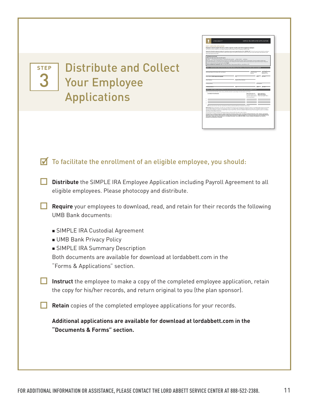**STEP** 3

Distribute and Collect Your Employee Applications

|                                                                  | LORD ASSETT"                                           |                                                                                                                                                                                                                                                                                                                                                                                                                                                                                                                                                                                                                                                                                                                                                                                                                                                                                                                                                                         | SIMPLE IRA EMPLOYEE APPLICATION                                                                                                             |                                                                                                         |
|------------------------------------------------------------------|--------------------------------------------------------|-------------------------------------------------------------------------------------------------------------------------------------------------------------------------------------------------------------------------------------------------------------------------------------------------------------------------------------------------------------------------------------------------------------------------------------------------------------------------------------------------------------------------------------------------------------------------------------------------------------------------------------------------------------------------------------------------------------------------------------------------------------------------------------------------------------------------------------------------------------------------------------------------------------------------------------------------------------------------|---------------------------------------------------------------------------------------------------------------------------------------------|---------------------------------------------------------------------------------------------------------|
| PART I- FMPLOYEE APPLICATION<br>person who opens an account.     |                                                        | Emaloyee should complete this form, retain a copy for records, and return original to emaloyer.<br>Use this form only to establish a Lord Abbett Savings Incentive Match Plan for Employees (SIMPLE IRA).<br>Important information about procedures for opening a new account required by the U.S.A. PATRIOT ACT. To help the government fight the funding of<br>terrorism and money-laundering activities, federal law requires all financial institutions to obtain, verify, and record information that identifies each                                                                                                                                                                                                                                                                                                                                                                                                                                              |                                                                                                                                             |                                                                                                         |
| OPENING AN ACCOUNT<br>When you coen an account, we will require: | sure to review and sign this application under Step S. | - Name - Social Security number or tax identification number - Date of birth - Address<br>We may ask for other information that will allow us to identify you. We may also ask for copies of documents. If we are unable to obtain your<br>required information, we will return your application. Your moneys will not be invested until we have obtained all required information. Please be<br>Call Lord Abbett for assistance: 000-223-0020 (Monday-Friday, between 8.30 a.m. and 6.00 p.m. ET)<br>STEP 1: PARTICIPANT REGISTRATION INFORMATION (Military Post Office or Floot Post Office will be accepted)                                                                                                                                                                                                                                                                                                                                                         |                                                                                                                                             |                                                                                                         |
| Participant Name First Name, MI, Last Name!                      |                                                        |                                                                                                                                                                                                                                                                                                                                                                                                                                                                                                                                                                                                                                                                                                                                                                                                                                                                                                                                                                         | Social Security<br><b>Number</b>                                                                                                            | Date of Birth<br><b>IMMOD/YYYY</b>                                                                      |
| Street Address (P.O. boxes not accepted)                         |                                                        | City                                                                                                                                                                                                                                                                                                                                                                                                                                                                                                                                                                                                                                                                                                                                                                                                                                                                                                                                                                    |                                                                                                                                             | Own.<br><b>Tis Cada</b>                                                                                 |
| <b>Email Address</b>                                             |                                                        | <b>Daytime Phone Number</b>                                                                                                                                                                                                                                                                                                                                                                                                                                                                                                                                                                                                                                                                                                                                                                                                                                                                                                                                             |                                                                                                                                             |                                                                                                         |
| Company Name                                                     |                                                        |                                                                                                                                                                                                                                                                                                                                                                                                                                                                                                                                                                                                                                                                                                                                                                                                                                                                                                                                                                         |                                                                                                                                             | Plan Number                                                                                             |
| Company Address                                                  |                                                        | $\overline{\circ}$                                                                                                                                                                                                                                                                                                                                                                                                                                                                                                                                                                                                                                                                                                                                                                                                                                                                                                                                                      |                                                                                                                                             | Zia Code<br>24%                                                                                         |
|                                                                  |                                                        | STEP 2: INVESTMENT SELECTIONS (For more information about our funds, visit us at lordabbett.com.<br>Please indicate the fund name, share class, and dollar amount or percentage to be allocated to each fund.                                                                                                                                                                                                                                                                                                                                                                                                                                                                                                                                                                                                                                                                                                                                                           |                                                                                                                                             |                                                                                                         |
| <b>Lord Abbett Fund Namelal</b>                                  |                                                        |                                                                                                                                                                                                                                                                                                                                                                                                                                                                                                                                                                                                                                                                                                                                                                                                                                                                                                                                                                         | Share Class (A or C)<br>life share class is not<br>will be ourchased.)                                                                      | <b>Dollar Amount or</b><br><b>Whole Percentage</b><br>selected. Class A shares [Total must equal 100%.] |
| ٠<br>٠                                                           |                                                        |                                                                                                                                                                                                                                                                                                                                                                                                                                                                                                                                                                                                                                                                                                                                                                                                                                                                                                                                                                         |                                                                                                                                             |                                                                                                         |
| Multi-Asset Global Opportunity Fund.                             |                                                        | I have selected more than four investments and have attached additional investment instructions.<br>Please note: Effective November 29, 2013, the Lord Abbett Diversified Income Strategy Fund changed its name to Lord Abbett Multi-Asset Income Fund,<br>the Lord Abbett Balanced Strategy Fund changed its name to Lord Abbett Multi-Asset Balanced Opportunity Fund, the Lord Abbett Growth & Income<br>Strategy Fund changed its name to Lord Abbett Multi-Asset Growth Fund, and the Lord Abbett Global Allocation Fund changed its name to Lord Abbett<br>All distributions will be reinvested. Exchange privilege is offered within the same class of shares.<br>A prospectus or summary prospectus contains important information about a fund, including investment objectives, risks, charges, and ongoing<br>expenses, which an investor should carefully consider before investing. To obtain a prospectus or summary prospectus on any Lord Abbett mutual | fund, alease contact your financial adviser or Lord Abbett Distributor LLC at 698-522-2398 or visit our website at lordabbett.com. Read the |                                                                                                         |

## $\blacksquare$  To facilitate the enrollment of an eligible employee, you should:

**Distribute** the SIMPLE IRA Employee Application including Payroll Agreement to all eligible employees. Please photocopy and distribute.

**Require** your employees to download, read, and retain for their records the following UMB Bank documents:

- **B** SIMPLE IRA Custodial Agreement
- **No UMB Bank Privacy Policy**
- **B** SIMPLE IRA Summary Description

Both documents are available for download at lordabbett.com in the "Forms & Applications" section.

**Instruct** the employee to make a copy of the completed employee application, retain the copy for his/her records, and return original to you (the plan sponsor).

**Retain** copies of the completed employee applications for your records.

 **Additional applications are available for download at lordabbett.com in the "Documents & Forms" section.**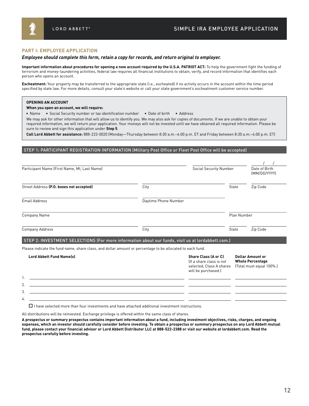

#### **PART I: EMPLOYEE APPLICATION**

#### *Employee should complete this form, retain a copy for records, and return original to employer.*

**Important information about procedures for opening a new account required by the U.S.A. PATRIOT ACT:** To help the government fight the funding of terrorism and money-laundering activities, federal law requires all financial institutions to obtain, verify, and record information that identifies each person who opens an account.

**Escheatment:** Your property may be transferred to the appropriate state (i.e., escheated) if no activity occurs in the account within the time period specified by state law. For more details, consult your state's website or call your state government's escheatment customer service number.

#### **OPENING AN ACCOUNT**

3. 4.

#### **When you open an account, we will require:**

n Name n Social Security number or tax identification number n Date of birth n Address

We may ask for other information that will allow us to identify you. We may also ask for copies of documents. If we are unable to obtain your required information, we will return your application. Your moneys will not be invested until we have obtained all required information. Please be sure to review and sign this application under **Step 5**.

**Call Lord Abbett for assistance:** 888-223-0020 (Monday—Thursday between 8:30 a.m.–6:00 p.m. ET and Friday between 8:30 a.m.–4:00 p.m. ET)

#### STEP 1: PARTICIPANT REGISTRATION INFORMATION (Military Post Office or Fleet Post Office will be accepted)

| Participant Name (First Name, MI, Last Name)                                                              |                      | Social Security Number                                                                                     |       | Date of Birth<br>(MM/DD/YYYY)                                                  |
|-----------------------------------------------------------------------------------------------------------|----------------------|------------------------------------------------------------------------------------------------------------|-------|--------------------------------------------------------------------------------|
| Street Address (P.O. boxes not accepted)                                                                  | City                 |                                                                                                            | State | Zip Code                                                                       |
| <b>Email Address</b>                                                                                      | Daytime Phone Number |                                                                                                            |       |                                                                                |
| Company Name                                                                                              |                      |                                                                                                            |       | Plan Number                                                                    |
| <b>Company Address</b>                                                                                    | City                 |                                                                                                            | State | Zip Code                                                                       |
| <b>STEP 2: INVESTMENT SELECTIONS (For more information about our funds, visit us at lordabbett.com.)</b>  |                      |                                                                                                            |       |                                                                                |
| Please indicate the fund name, share class, and dollar amount or percentage to be allocated to each fund. |                      |                                                                                                            |       |                                                                                |
| <b>Lord Abbett Fund Name(s)</b>                                                                           |                      | <b>Share Class (A or C)</b><br>(If a share class is not<br>selected, Class A shares<br>will be purchased.) |       | <b>Dollar Amount or</b><br><b>Whole Percentage</b><br>(Total must equal 100%.) |
|                                                                                                           |                      |                                                                                                            |       |                                                                                |
| 2.                                                                                                        |                      |                                                                                                            |       |                                                                                |

 $\Box$  I have selected more than four investments and have attached additional investment instructions.

All distributions will be reinvested. Exchange privilege is offered within the same class of shares.

**A prospectus or summary prospectus contains important information about a fund, including investment objectives, risks, charges, and ongoing expenses, which an investor should carefully consider before investing. To obtain a prospectus or summary prospectus on any Lord Abbett mutual fund, please contact your financial advisor or Lord Abbett Distributor LLC at 888-522-2388 or visit our website at lordabbett.com. Read the prospectus carefully before investing.**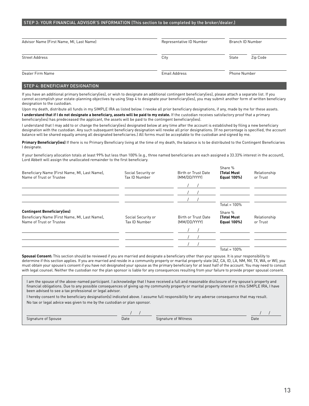#### STEP 3: YOUR FINANCIAL ADVISOR'S INFORMATION (This section to be completed by the broker/dealer.)

| Advisor Name (First Name, MI, Last Name) | Representative ID Number | Branch ID Number    |  |  |
|------------------------------------------|--------------------------|---------------------|--|--|
| <b>Street Address</b>                    | City                     | State<br>Zip Code   |  |  |
| Dealer Firm Name                         | Email Address            | <b>Phone Number</b> |  |  |

#### STEP 4: BENEFICIARY DESIGNATION

If you have an additional primary beneficiary(ies), or wish to designate an additional contingent beneficiary(ies), please attach a separate list. If you cannot accomplish your estate-planning objectives by using Step 4 to designate your beneficiary(ies), you may submit another form of written beneficiary designation to the custodian.

Upon my death, distribute all funds in my SIMPLE IRA as listed below. I revoke all prior beneficiary designations, if any, made by me for these assets. I understand that if I do not designate a beneficiary, assets will be paid to my estate. If the custodian receives satisfactory proof that a primary beneficiary(ies) has predeceased the applicant, the assets will be paid to the contingent beneficiary(ies).

I understand that I may add to or change the beneficiary(ies) designated below at any time after the account is established by filing a new beneficiary designation with the custodian. Any such subsequent beneficiary designation will revoke all prior designations. (If no percentage is specified, the account balance will be shared equally among all designated beneficiaries.) All forms must be acceptable to the custodian and signed by me.

**Primary Beneficiary(ies)** If there is no Primary Beneficiary living at the time of my death, the balance is to be distributed to the Contingent Beneficiaries I designate.

If your beneficiary allocation totals at least 99% but less than 100% (e.g., three named beneficiaries are each assigned a 33.33% interest in the account), Lord Abbett will assign the unallocated remainder to the first beneficiary.

| Beneficiary Name (First Name, MI, Last Name),<br>Name of Trust or Trustee                                       | Social Security or<br>Tax ID Number | Birth or Trust Date<br>(MM/DD/YYYY) | Share %<br><b>ITotal Must</b><br>Equal 100%) | Relationship<br>or Trust |
|-----------------------------------------------------------------------------------------------------------------|-------------------------------------|-------------------------------------|----------------------------------------------|--------------------------|
|                                                                                                                 |                                     |                                     |                                              |                          |
|                                                                                                                 |                                     |                                     | Total = $100\%$                              |                          |
| <b>Contingent Beneficiary(ies)</b><br>Beneficiary Name (First Name, MI, Last Name),<br>Name of Trust or Trustee | Social Security or<br>Tax ID Number | Birth or Trust Date<br>(MM/DD/YYYY) | Share %<br><b>Total Must</b><br>Equal 100%)  | Relationship<br>or Trust |
|                                                                                                                 |                                     |                                     |                                              |                          |
|                                                                                                                 |                                     |                                     | Total = $100\%$                              |                          |

**Spousal Consent:** This section should be reviewed if you are married and designate a beneficiary other than your spouse. It is your responsibility to determine if this section applies. If you are married and reside in a community property or marital property state (AZ, CA, ID, LA, NM, NV, TX, WA, or WI), you must obtain your spouse's consent if you have not designated your spouse as the primary beneficiary for at least half of the account. You may need to consult with legal counsel. Neither the custodian nor the plan sponsor is liable for any consequences resulting from your failure to provide proper spousal consent.

I am the spouse of the above-named participant. I acknowledge that I have received a full and reasonable disclosure of my spouse's property and financial obligations. Due to any possible consequences of giving up my community property or marital property interest in this SIMPLE IRA, I have been advised to see a tax professional or legal advisor.

I hereby consent to the beneficiary designation(s) indicated above. I assume full responsibility for any adverse consequence that may result. No tax or legal advice was given to me by the custodian or plan sponsor.

| Signature of Spouse | Date | Signature of Witness | Date |
|---------------------|------|----------------------|------|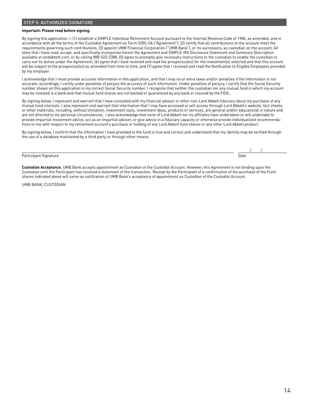#### STEP 5: AUTHORIZED SIGNATURE

#### **Important: Please read before signing.**

By signing this application, I: (1) establish a SIMPLE Individual Retirement Account pursuant to the Internal Revenue Code of 1986, as amended, and in accordance with all the terms of the Custodial Agreement on Form 5305-SA ("Agreement"), (2) certify that all contributions to the account meet the requirements governing such contributions, (3) appoint UMB Financial Corporation ("UMB Bank"), or its successors, as custodian on the account, (4) state that I have read, accept, and specifically incorporate herein the Agreement and SIMPLE IRA Disclosure Statement and Summary Description available at lordabbett.com, or by calling 888-522-2388, (5) agree to promptly give necessary instructions to the custodian to enable the custodian to carry out its duties under the Agreement, (6) agree that I have received and read the prospectus(es) for the investment(s) selected and that this account will be subject to the prospectus(es) as amended from time to time, and (7) agree that I received and read the Notification to Eligible Employees provided by my employer.

I acknowledge that I must provide accurate information in this application, and that I may incur extra taxes and/or penalties if the information is not accurate; accordingly, I certify under penalties of perjury the accuracy of such information. Under penalties of perjury, I certify that the Social Security number shown on this application is my correct Social Security number. I recognize that neither the custodian nor any mutual fund in which my account may be invested is a bank and that mutual fund shares are not backed or guaranteed by any bank or insured by the FDIC.

By signing below, I represent and warrant that I have consulted with my financial advisor or other non-Lord Abbett fiduciary about my purchase of any mutual fund interests. I also represent and warrant that information that I may have accessed or will access through Lord Abbett's website, fact sheets, or other materials, including, without limitation, investment tools, investment ideas, products or services, are general and/or educational in nature and are not directed to my personal circumstances. I also acknowledge that none of Lord Abbett nor its affiliates have undertaken or will undertake to provide impartial investment advice, act as an impartial adviser, or give advice in a fiduciary capacity or otherwise provide individualized recommendations to me with respect to my retirement account's purchase or holding of any Lord Abbett fund shares or any other Lord Abbett product.

By signing below, I confirm that the information I have provided to the fund is true and correct and understand that my identity may be verified through the use of a database maintained by a third party or through other means.

#### Participant Signature

**Custodian Acceptance.** UMB Bank accepts appointment as Custodian of the Custodial Account. However, this Agreement is not binding upon the Custodian until the Participant has received a statement of the transaction. Receipt by the Participant of a confirmation of the purchase of the Fund shares indicated above will serve as notification of UMB Bank's acceptance of appointment as Custodian of the Custodial Account.

UMB BANK, CUSTODIAN

/ /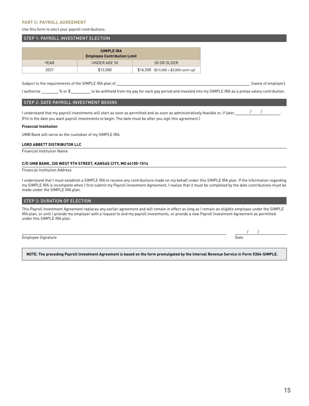#### **PART II: PAYROLL AGREEMENT**

Use this form to elect your payroll contributions.

#### STEP 1: PAYROLL INVESTMENT ELECTION

| <b>SIMPLE IRA</b><br><b>Employee Contribution Limit</b> |              |                                         |  |  |  |  |
|---------------------------------------------------------|--------------|-----------------------------------------|--|--|--|--|
| <b>YEAR</b>                                             | UNDER AGE 50 | 50 OR OLDER                             |  |  |  |  |
| 2021                                                    | \$13,500     | $$16,500$ (\$13,500 + \$3,000 catch up) |  |  |  |  |

Subject to the requirements of the SIMPLE IRA plan of (name of employer),

/ /

I authorize \_\_\_\_\_\_\_ % or \$\_\_\_\_\_\_\_\_\_ to be withheld from my pay for each pay period and invested into my SIMPLE IRA as a pretax salary contribution.

#### STEP 2: DATE PAYROLL INVESTMENT BEGINS

I understand that my payroll investments will start as soon as permitted and as soon as administratively feasible or, if later,  $\frac{1}{\sqrt{1-\frac{1}{n}}}$ (Fill in the date you want payroll investments to begin. The date must be after you sign this agreement.) / /

#### **Financial Institution**

UMB Bank will serve as the custodian of my SIMPLE IRA.

#### **LORD ABBETT DISTRIBUTOR LLC**

Financial Institution Name

#### **C/O UMB BANK, 330 WEST 9TH STREET, KANSAS CITY, MO 64105-1514**

Financial Institution Address

I understand that I must establish a SIMPLE IRA to receive any contributions made on my behalf under this SIMPLE IRA plan. If the information regarding my SIMPLE IRA is incomplete when I first submit my Payroll Investment Agreement, I realize that it must be completed by the date contributions must be made under the SIMPLE IRA plan.

#### **STEP 3: DURATION OF ELECTION**

This Payroll Investment Agreement replaces any earlier agreement and will remain in effect as long as I remain an eligible employee under the SIMPLE IRA plan, or until I provide my employer with a request to end my payroll investments, or provide a new Payroll Investment Agreement as permitted under this SIMPLE IRA plan.

Employee Signature Date and Contract Contract Contract Contract Contract Contract Contract Contract Contract Contract Contract Contract Contract Contract Contract Contract Contract Contract Contract Contract Contract Contr

**NOTE: The preceding Payroll Investment Agreement is based on the form promulgated by the Internal Revenue Service in Form 5304-SIMPLE.**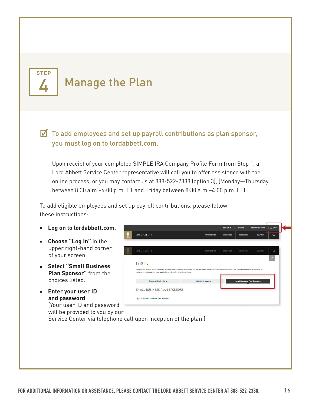

## Manage the Plan

 $\triangledown$  To add employees and set up payroll contributions as plan sponsor, you must log on to lordabbett.com.

 Upon receipt of your completed SIMPLE IRA Company Profile Form from Step 1, a Lord Abbett Service Center representative will call you to offer assistance with the online process, or you may contact us at 888-522-2388 (option 3), (Monday—Thursday between 8:30 a.m.–6:00 p.m. ET and Friday between 8:30 a.m.–4:00 p.m. ET).

To add eligible employees and set up payroll contributions, please follow these instructions:

- **Log on to lordabbett.com**.
- **Choose "Log In"** in the upper right-hand corner of your screen.
- **Select "Small Business Plan Sponsor"** from the choices listed.
- **Enter your user ID and password**. (Your user ID and password will be provided to you by our

|                                                                                                                                                                                                                                                                    |                             | <b>CONTACT US</b> | <b>CAREERS</b>                      | <b>DOCUMENTS &amp; FORMS</b> | $\triangle$ LOGIN         |
|--------------------------------------------------------------------------------------------------------------------------------------------------------------------------------------------------------------------------------------------------------------------|-----------------------------|-------------------|-------------------------------------|------------------------------|---------------------------|
| LORD ABBETT                                                                                                                                                                                                                                                        | <b>PERSPECTIVES</b>         | <b>STRATEGIES</b> | <b>RESOURCES</b>                    | <b>CULTURE</b>               | Q                         |
|                                                                                                                                                                                                                                                                    |                             |                   |                                     |                              |                           |
| LORD ABBETT                                                                                                                                                                                                                                                        | PERSPECTIVES                | <b>STRATEGIES</b> | <b>RESOURCES</b>                    | <b>CULTURE</b>               | Q                         |
| <b>LOG IN</b><br>Lord Abbett experts provide analysis and commentary to help individuals and professionals make better investment decisions. We also offer essential intelligence on<br>retirement strategies and business-building advice for financial advisers. |                             |                   |                                     |                              | $\boldsymbol{\mathsf{x}}$ |
| <b>Financial Professional</b>                                                                                                                                                                                                                                      | <b>Individual Investors</b> |                   | <b>Small Business Plan Sponsors</b> |                              |                           |
| SMALL BUSINESS PLAN SPONSORS                                                                                                                                                                                                                                       |                             |                   |                                     |                              |                           |
| ≙<br>Go to small business plan sponsors                                                                                                                                                                                                                            |                             |                   |                                     |                              |                           |

Service Center via telephone call upon inception of the plan.)